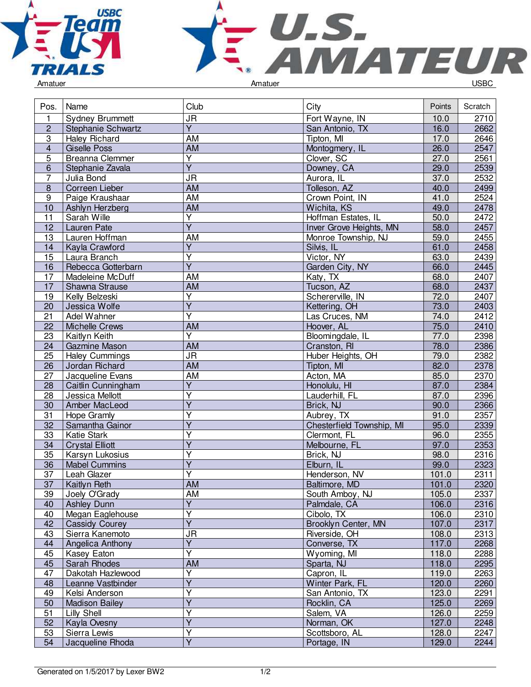



| Amatuer |  |  |
|---------|--|--|
|         |  |  |

| <b>JR</b><br>2710<br>1<br><b>Sydney Brummett</b><br>Fort Wayne, IN<br>10.0<br>Y<br>$\overline{c}$<br>16.0<br>2662<br>Stephanie Schwartz<br>San Antonio, TX<br>$\overline{3}$<br><b>AM</b><br>Tipton, MI<br>17.0<br>2646<br>Haley Richard<br>$\overline{AM}$<br>$\overline{4}$<br>26.0<br>2547<br><b>Giselle Poss</b><br>Montogmery, IL<br>$\overline{\mathsf{Y}}$<br><b>Breanna Clemmer</b><br>Clover, SC<br>27.0<br>5<br>2561<br>$\overline{Y}$<br>29.0<br>Downey, CA<br>2539<br>6<br>Stephanie Zavala<br>$\overline{7}$<br>J <sub>R</sub><br>Aurora, IL<br>37.0<br>2532<br>Julia Bond<br>$\overline{8}$<br><b>AM</b><br>40.0<br>2499<br>Correen Lieber<br>Tolleson, AZ<br>2524<br>AM<br>$\boldsymbol{9}$<br>Paige Kraushaar<br>Crown Point, IN<br>41.0<br>10<br>AM<br>49.0<br>2478<br>Ashlyn Herzberg<br>Wichita, KS<br>$\overline{11}$<br>50.0<br>2472<br>Sarah Wille<br>Υ<br>Hoffman Estates, IL<br>$\overline{Y}$<br>58.0<br>12<br>Inver Grove Heights, MN<br>2457<br>Lauren Pate<br>$\overline{13}$<br><b>AM</b><br>59.0<br>2455<br>Lauren Hoffman<br>Monroe Township, NJ<br>$\overline{\mathsf{Y}}$<br>61.0<br>14<br>Silvis, IL<br>2458<br>Kayla Crawford<br>$\overline{\mathsf{Y}}$<br>Victor, NY<br>63.0<br>2439<br>15<br>Laura Branch<br>$\overline{Y}$<br>Garden City, NY<br>66.0<br>16<br>2445<br>Rebecca Gotterbarn<br>17<br>68.0<br>Madeleine McDuff<br>AM<br>Katy, TX<br>2407<br>17<br><b>AM</b><br>Tucson, AZ<br>68.0<br>2437<br>Shawna Strause<br>Υ<br>72.0<br>2407<br>Kelly Belzeski<br>Schererville, IN<br>19<br>$\overline{Y}$<br>73.0<br>2403<br>20<br>Jessica Wolfe<br>Kettering, OH<br>$\overline{\mathsf{Y}}$<br>74.0<br>21<br>Las Cruces, NM<br>2412<br>Adel Wahner<br><b>AM</b><br>75.0<br>22<br>Hoover, AL<br>2410<br><b>Michelle Crews</b><br>$\overline{\mathsf{Y}}$<br>$\overline{23}$<br>2398<br>Kaitlyn Keith<br>Bloomingdale, IL<br>77.0<br>78.0<br><b>AM</b><br>2386<br>24<br>Gazmine Mason<br>Cranston, RI<br>25<br><b>JR</b><br>79.0<br><b>Haley Cummings</b><br>Huber Heights, OH<br>2382<br><b>AM</b><br>82.0<br>26<br>Jordan Richard<br>Tipton, MI<br>2378<br><b>AM</b><br>Acton, MA<br>85.0<br>2370<br>27<br>Jacqueline Evans<br>$\overline{Y}$<br>2384<br>28<br>87.0<br>Caitlin Cunningham<br>Honolulu, HI<br>Υ<br>87.0<br>2396<br>28<br>Jessica Mellott<br>Lauderhill, FL<br>$\overline{Y}$<br>90.0<br>2366<br>30<br>Amber MacLeod<br>Brick, NJ<br>$\overline{\mathsf{Y}}$<br>91.0<br>31<br>Aubrey, TX<br>2357<br>Hope Gramly<br>$\overline{\mathsf{Y}}$<br>95.0<br>32<br>Chesterfield Township, MI<br>2339<br>Samantha Gainor<br>Ÿ<br>33<br>Katie Stark<br>96.0<br>2355<br>Clermont, FL<br>$\overline{\mathsf{Y}}$<br>97.0<br>2353<br>34<br><b>Crystal Elliott</b><br>Melbourne, FL<br>Ÿ<br>98.0<br>35<br>Brick, NJ<br>2316<br>Karsyn Lukosius<br>$\overline{Y}$<br>99.0<br>2323<br>36<br>Elburn, IL<br><b>Mabel Cummins</b><br>Υ<br>2311<br>37<br>Henderson, NV<br>101.0<br>Leah Glazer<br>37<br>Kaitlyn Reth<br>101.0<br>2320<br>AM<br>Baltimore, MD<br>39<br>Joely O'Grady<br>AM<br>South Amboy, NJ<br>105.0<br>2337<br>$\overline{\mathsf{Y}}$<br>40<br>106.0<br>2316<br><b>Ashley Dunn</b><br>Palmdale, CA<br>Ÿ<br>40<br>Megan Eaglehouse<br>Cibolo, TX<br>106.0<br>2310<br>$\overline{Y}$<br>Brooklyn Center, MN<br>42<br>Cassidy Courey<br>107.0<br>2317<br>43<br><b>JR</b><br>Riverside, OH<br>108.0<br>Sierra Kanemoto<br>2313<br>$\overline{Y}$<br>117.0<br>2268<br>44<br>Angelica Anthony<br>Converse, TX<br>Ÿ<br>45<br>118.0<br>Wyoming, MI<br>2288<br>Kasey Eaton<br>45<br>AM<br>118.0<br>2295<br>Sarah Rhodes<br>Sparta, NJ<br>Υ<br>47<br>Dakotah Hazlewood<br>Capron, IL<br>119.0<br>2263<br>Y<br>Winter Park, FL<br>120.0<br>2260<br>48<br>Leanne Vastbinder<br>Kelsi Anderson<br>Y<br>San Antonio, TX<br>123.0<br>2291<br>49<br>$\overline{\mathsf{Y}}$<br>125.0<br>50<br><b>Madison Bailey</b><br>2269<br>Rocklin, CA<br>Υ<br>51<br>Lilly Shell<br>Salem, VA<br>126.0<br>2259<br>$\overline{\mathsf{Y}}$<br>Norman, OK<br>127.0<br>52<br>Kayla Ovesny<br>2248<br>Υ<br>53<br>128.0<br>Sierra Lewis<br>Scottsboro, AL<br>2247 | Pos. | Name             | Club | City        | Points | Scratch |
|------------------------------------------------------------------------------------------------------------------------------------------------------------------------------------------------------------------------------------------------------------------------------------------------------------------------------------------------------------------------------------------------------------------------------------------------------------------------------------------------------------------------------------------------------------------------------------------------------------------------------------------------------------------------------------------------------------------------------------------------------------------------------------------------------------------------------------------------------------------------------------------------------------------------------------------------------------------------------------------------------------------------------------------------------------------------------------------------------------------------------------------------------------------------------------------------------------------------------------------------------------------------------------------------------------------------------------------------------------------------------------------------------------------------------------------------------------------------------------------------------------------------------------------------------------------------------------------------------------------------------------------------------------------------------------------------------------------------------------------------------------------------------------------------------------------------------------------------------------------------------------------------------------------------------------------------------------------------------------------------------------------------------------------------------------------------------------------------------------------------------------------------------------------------------------------------------------------------------------------------------------------------------------------------------------------------------------------------------------------------------------------------------------------------------------------------------------------------------------------------------------------------------------------------------------------------------------------------------------------------------------------------------------------------------------------------------------------------------------------------------------------------------------------------------------------------------------------------------------------------------------------------------------------------------------------------------------------------------------------------------------------------------------------------------------------------------------------------------------------------------------------------------------------------------------------------------------------------------------------------------------------------------------------------------------------------------------------------------------------------------------------------------------------------------------------------------------------------------------------------------------------------------------------------------------------------------------------------------------------------------------------------------------------------------------------------------------------------------------------------------------------------------------------------------------------------------------------------------------------------------------------------------------------------------------------------------------------------------------------------------------------------------------------------------------------------------------------|------|------------------|------|-------------|--------|---------|
|                                                                                                                                                                                                                                                                                                                                                                                                                                                                                                                                                                                                                                                                                                                                                                                                                                                                                                                                                                                                                                                                                                                                                                                                                                                                                                                                                                                                                                                                                                                                                                                                                                                                                                                                                                                                                                                                                                                                                                                                                                                                                                                                                                                                                                                                                                                                                                                                                                                                                                                                                                                                                                                                                                                                                                                                                                                                                                                                                                                                                                                                                                                                                                                                                                                                                                                                                                                                                                                                                                                                                                                                                                                                                                                                                                                                                                                                                                                                                                                                                                                                                          |      |                  |      |             |        |         |
|                                                                                                                                                                                                                                                                                                                                                                                                                                                                                                                                                                                                                                                                                                                                                                                                                                                                                                                                                                                                                                                                                                                                                                                                                                                                                                                                                                                                                                                                                                                                                                                                                                                                                                                                                                                                                                                                                                                                                                                                                                                                                                                                                                                                                                                                                                                                                                                                                                                                                                                                                                                                                                                                                                                                                                                                                                                                                                                                                                                                                                                                                                                                                                                                                                                                                                                                                                                                                                                                                                                                                                                                                                                                                                                                                                                                                                                                                                                                                                                                                                                                                          |      |                  |      |             |        |         |
|                                                                                                                                                                                                                                                                                                                                                                                                                                                                                                                                                                                                                                                                                                                                                                                                                                                                                                                                                                                                                                                                                                                                                                                                                                                                                                                                                                                                                                                                                                                                                                                                                                                                                                                                                                                                                                                                                                                                                                                                                                                                                                                                                                                                                                                                                                                                                                                                                                                                                                                                                                                                                                                                                                                                                                                                                                                                                                                                                                                                                                                                                                                                                                                                                                                                                                                                                                                                                                                                                                                                                                                                                                                                                                                                                                                                                                                                                                                                                                                                                                                                                          |      |                  |      |             |        |         |
|                                                                                                                                                                                                                                                                                                                                                                                                                                                                                                                                                                                                                                                                                                                                                                                                                                                                                                                                                                                                                                                                                                                                                                                                                                                                                                                                                                                                                                                                                                                                                                                                                                                                                                                                                                                                                                                                                                                                                                                                                                                                                                                                                                                                                                                                                                                                                                                                                                                                                                                                                                                                                                                                                                                                                                                                                                                                                                                                                                                                                                                                                                                                                                                                                                                                                                                                                                                                                                                                                                                                                                                                                                                                                                                                                                                                                                                                                                                                                                                                                                                                                          |      |                  |      |             |        |         |
|                                                                                                                                                                                                                                                                                                                                                                                                                                                                                                                                                                                                                                                                                                                                                                                                                                                                                                                                                                                                                                                                                                                                                                                                                                                                                                                                                                                                                                                                                                                                                                                                                                                                                                                                                                                                                                                                                                                                                                                                                                                                                                                                                                                                                                                                                                                                                                                                                                                                                                                                                                                                                                                                                                                                                                                                                                                                                                                                                                                                                                                                                                                                                                                                                                                                                                                                                                                                                                                                                                                                                                                                                                                                                                                                                                                                                                                                                                                                                                                                                                                                                          |      |                  |      |             |        |         |
|                                                                                                                                                                                                                                                                                                                                                                                                                                                                                                                                                                                                                                                                                                                                                                                                                                                                                                                                                                                                                                                                                                                                                                                                                                                                                                                                                                                                                                                                                                                                                                                                                                                                                                                                                                                                                                                                                                                                                                                                                                                                                                                                                                                                                                                                                                                                                                                                                                                                                                                                                                                                                                                                                                                                                                                                                                                                                                                                                                                                                                                                                                                                                                                                                                                                                                                                                                                                                                                                                                                                                                                                                                                                                                                                                                                                                                                                                                                                                                                                                                                                                          |      |                  |      |             |        |         |
|                                                                                                                                                                                                                                                                                                                                                                                                                                                                                                                                                                                                                                                                                                                                                                                                                                                                                                                                                                                                                                                                                                                                                                                                                                                                                                                                                                                                                                                                                                                                                                                                                                                                                                                                                                                                                                                                                                                                                                                                                                                                                                                                                                                                                                                                                                                                                                                                                                                                                                                                                                                                                                                                                                                                                                                                                                                                                                                                                                                                                                                                                                                                                                                                                                                                                                                                                                                                                                                                                                                                                                                                                                                                                                                                                                                                                                                                                                                                                                                                                                                                                          |      |                  |      |             |        |         |
|                                                                                                                                                                                                                                                                                                                                                                                                                                                                                                                                                                                                                                                                                                                                                                                                                                                                                                                                                                                                                                                                                                                                                                                                                                                                                                                                                                                                                                                                                                                                                                                                                                                                                                                                                                                                                                                                                                                                                                                                                                                                                                                                                                                                                                                                                                                                                                                                                                                                                                                                                                                                                                                                                                                                                                                                                                                                                                                                                                                                                                                                                                                                                                                                                                                                                                                                                                                                                                                                                                                                                                                                                                                                                                                                                                                                                                                                                                                                                                                                                                                                                          |      |                  |      |             |        |         |
|                                                                                                                                                                                                                                                                                                                                                                                                                                                                                                                                                                                                                                                                                                                                                                                                                                                                                                                                                                                                                                                                                                                                                                                                                                                                                                                                                                                                                                                                                                                                                                                                                                                                                                                                                                                                                                                                                                                                                                                                                                                                                                                                                                                                                                                                                                                                                                                                                                                                                                                                                                                                                                                                                                                                                                                                                                                                                                                                                                                                                                                                                                                                                                                                                                                                                                                                                                                                                                                                                                                                                                                                                                                                                                                                                                                                                                                                                                                                                                                                                                                                                          |      |                  |      |             |        |         |
|                                                                                                                                                                                                                                                                                                                                                                                                                                                                                                                                                                                                                                                                                                                                                                                                                                                                                                                                                                                                                                                                                                                                                                                                                                                                                                                                                                                                                                                                                                                                                                                                                                                                                                                                                                                                                                                                                                                                                                                                                                                                                                                                                                                                                                                                                                                                                                                                                                                                                                                                                                                                                                                                                                                                                                                                                                                                                                                                                                                                                                                                                                                                                                                                                                                                                                                                                                                                                                                                                                                                                                                                                                                                                                                                                                                                                                                                                                                                                                                                                                                                                          |      |                  |      |             |        |         |
|                                                                                                                                                                                                                                                                                                                                                                                                                                                                                                                                                                                                                                                                                                                                                                                                                                                                                                                                                                                                                                                                                                                                                                                                                                                                                                                                                                                                                                                                                                                                                                                                                                                                                                                                                                                                                                                                                                                                                                                                                                                                                                                                                                                                                                                                                                                                                                                                                                                                                                                                                                                                                                                                                                                                                                                                                                                                                                                                                                                                                                                                                                                                                                                                                                                                                                                                                                                                                                                                                                                                                                                                                                                                                                                                                                                                                                                                                                                                                                                                                                                                                          |      |                  |      |             |        |         |
|                                                                                                                                                                                                                                                                                                                                                                                                                                                                                                                                                                                                                                                                                                                                                                                                                                                                                                                                                                                                                                                                                                                                                                                                                                                                                                                                                                                                                                                                                                                                                                                                                                                                                                                                                                                                                                                                                                                                                                                                                                                                                                                                                                                                                                                                                                                                                                                                                                                                                                                                                                                                                                                                                                                                                                                                                                                                                                                                                                                                                                                                                                                                                                                                                                                                                                                                                                                                                                                                                                                                                                                                                                                                                                                                                                                                                                                                                                                                                                                                                                                                                          |      |                  |      |             |        |         |
|                                                                                                                                                                                                                                                                                                                                                                                                                                                                                                                                                                                                                                                                                                                                                                                                                                                                                                                                                                                                                                                                                                                                                                                                                                                                                                                                                                                                                                                                                                                                                                                                                                                                                                                                                                                                                                                                                                                                                                                                                                                                                                                                                                                                                                                                                                                                                                                                                                                                                                                                                                                                                                                                                                                                                                                                                                                                                                                                                                                                                                                                                                                                                                                                                                                                                                                                                                                                                                                                                                                                                                                                                                                                                                                                                                                                                                                                                                                                                                                                                                                                                          |      |                  |      |             |        |         |
|                                                                                                                                                                                                                                                                                                                                                                                                                                                                                                                                                                                                                                                                                                                                                                                                                                                                                                                                                                                                                                                                                                                                                                                                                                                                                                                                                                                                                                                                                                                                                                                                                                                                                                                                                                                                                                                                                                                                                                                                                                                                                                                                                                                                                                                                                                                                                                                                                                                                                                                                                                                                                                                                                                                                                                                                                                                                                                                                                                                                                                                                                                                                                                                                                                                                                                                                                                                                                                                                                                                                                                                                                                                                                                                                                                                                                                                                                                                                                                                                                                                                                          |      |                  |      |             |        |         |
|                                                                                                                                                                                                                                                                                                                                                                                                                                                                                                                                                                                                                                                                                                                                                                                                                                                                                                                                                                                                                                                                                                                                                                                                                                                                                                                                                                                                                                                                                                                                                                                                                                                                                                                                                                                                                                                                                                                                                                                                                                                                                                                                                                                                                                                                                                                                                                                                                                                                                                                                                                                                                                                                                                                                                                                                                                                                                                                                                                                                                                                                                                                                                                                                                                                                                                                                                                                                                                                                                                                                                                                                                                                                                                                                                                                                                                                                                                                                                                                                                                                                                          |      |                  |      |             |        |         |
|                                                                                                                                                                                                                                                                                                                                                                                                                                                                                                                                                                                                                                                                                                                                                                                                                                                                                                                                                                                                                                                                                                                                                                                                                                                                                                                                                                                                                                                                                                                                                                                                                                                                                                                                                                                                                                                                                                                                                                                                                                                                                                                                                                                                                                                                                                                                                                                                                                                                                                                                                                                                                                                                                                                                                                                                                                                                                                                                                                                                                                                                                                                                                                                                                                                                                                                                                                                                                                                                                                                                                                                                                                                                                                                                                                                                                                                                                                                                                                                                                                                                                          |      |                  |      |             |        |         |
|                                                                                                                                                                                                                                                                                                                                                                                                                                                                                                                                                                                                                                                                                                                                                                                                                                                                                                                                                                                                                                                                                                                                                                                                                                                                                                                                                                                                                                                                                                                                                                                                                                                                                                                                                                                                                                                                                                                                                                                                                                                                                                                                                                                                                                                                                                                                                                                                                                                                                                                                                                                                                                                                                                                                                                                                                                                                                                                                                                                                                                                                                                                                                                                                                                                                                                                                                                                                                                                                                                                                                                                                                                                                                                                                                                                                                                                                                                                                                                                                                                                                                          |      |                  |      |             |        |         |
|                                                                                                                                                                                                                                                                                                                                                                                                                                                                                                                                                                                                                                                                                                                                                                                                                                                                                                                                                                                                                                                                                                                                                                                                                                                                                                                                                                                                                                                                                                                                                                                                                                                                                                                                                                                                                                                                                                                                                                                                                                                                                                                                                                                                                                                                                                                                                                                                                                                                                                                                                                                                                                                                                                                                                                                                                                                                                                                                                                                                                                                                                                                                                                                                                                                                                                                                                                                                                                                                                                                                                                                                                                                                                                                                                                                                                                                                                                                                                                                                                                                                                          |      |                  |      |             |        |         |
|                                                                                                                                                                                                                                                                                                                                                                                                                                                                                                                                                                                                                                                                                                                                                                                                                                                                                                                                                                                                                                                                                                                                                                                                                                                                                                                                                                                                                                                                                                                                                                                                                                                                                                                                                                                                                                                                                                                                                                                                                                                                                                                                                                                                                                                                                                                                                                                                                                                                                                                                                                                                                                                                                                                                                                                                                                                                                                                                                                                                                                                                                                                                                                                                                                                                                                                                                                                                                                                                                                                                                                                                                                                                                                                                                                                                                                                                                                                                                                                                                                                                                          |      |                  |      |             |        |         |
|                                                                                                                                                                                                                                                                                                                                                                                                                                                                                                                                                                                                                                                                                                                                                                                                                                                                                                                                                                                                                                                                                                                                                                                                                                                                                                                                                                                                                                                                                                                                                                                                                                                                                                                                                                                                                                                                                                                                                                                                                                                                                                                                                                                                                                                                                                                                                                                                                                                                                                                                                                                                                                                                                                                                                                                                                                                                                                                                                                                                                                                                                                                                                                                                                                                                                                                                                                                                                                                                                                                                                                                                                                                                                                                                                                                                                                                                                                                                                                                                                                                                                          |      |                  |      |             |        |         |
|                                                                                                                                                                                                                                                                                                                                                                                                                                                                                                                                                                                                                                                                                                                                                                                                                                                                                                                                                                                                                                                                                                                                                                                                                                                                                                                                                                                                                                                                                                                                                                                                                                                                                                                                                                                                                                                                                                                                                                                                                                                                                                                                                                                                                                                                                                                                                                                                                                                                                                                                                                                                                                                                                                                                                                                                                                                                                                                                                                                                                                                                                                                                                                                                                                                                                                                                                                                                                                                                                                                                                                                                                                                                                                                                                                                                                                                                                                                                                                                                                                                                                          |      |                  |      |             |        |         |
|                                                                                                                                                                                                                                                                                                                                                                                                                                                                                                                                                                                                                                                                                                                                                                                                                                                                                                                                                                                                                                                                                                                                                                                                                                                                                                                                                                                                                                                                                                                                                                                                                                                                                                                                                                                                                                                                                                                                                                                                                                                                                                                                                                                                                                                                                                                                                                                                                                                                                                                                                                                                                                                                                                                                                                                                                                                                                                                                                                                                                                                                                                                                                                                                                                                                                                                                                                                                                                                                                                                                                                                                                                                                                                                                                                                                                                                                                                                                                                                                                                                                                          |      |                  |      |             |        |         |
|                                                                                                                                                                                                                                                                                                                                                                                                                                                                                                                                                                                                                                                                                                                                                                                                                                                                                                                                                                                                                                                                                                                                                                                                                                                                                                                                                                                                                                                                                                                                                                                                                                                                                                                                                                                                                                                                                                                                                                                                                                                                                                                                                                                                                                                                                                                                                                                                                                                                                                                                                                                                                                                                                                                                                                                                                                                                                                                                                                                                                                                                                                                                                                                                                                                                                                                                                                                                                                                                                                                                                                                                                                                                                                                                                                                                                                                                                                                                                                                                                                                                                          |      |                  |      |             |        |         |
|                                                                                                                                                                                                                                                                                                                                                                                                                                                                                                                                                                                                                                                                                                                                                                                                                                                                                                                                                                                                                                                                                                                                                                                                                                                                                                                                                                                                                                                                                                                                                                                                                                                                                                                                                                                                                                                                                                                                                                                                                                                                                                                                                                                                                                                                                                                                                                                                                                                                                                                                                                                                                                                                                                                                                                                                                                                                                                                                                                                                                                                                                                                                                                                                                                                                                                                                                                                                                                                                                                                                                                                                                                                                                                                                                                                                                                                                                                                                                                                                                                                                                          |      |                  |      |             |        |         |
|                                                                                                                                                                                                                                                                                                                                                                                                                                                                                                                                                                                                                                                                                                                                                                                                                                                                                                                                                                                                                                                                                                                                                                                                                                                                                                                                                                                                                                                                                                                                                                                                                                                                                                                                                                                                                                                                                                                                                                                                                                                                                                                                                                                                                                                                                                                                                                                                                                                                                                                                                                                                                                                                                                                                                                                                                                                                                                                                                                                                                                                                                                                                                                                                                                                                                                                                                                                                                                                                                                                                                                                                                                                                                                                                                                                                                                                                                                                                                                                                                                                                                          |      |                  |      |             |        |         |
|                                                                                                                                                                                                                                                                                                                                                                                                                                                                                                                                                                                                                                                                                                                                                                                                                                                                                                                                                                                                                                                                                                                                                                                                                                                                                                                                                                                                                                                                                                                                                                                                                                                                                                                                                                                                                                                                                                                                                                                                                                                                                                                                                                                                                                                                                                                                                                                                                                                                                                                                                                                                                                                                                                                                                                                                                                                                                                                                                                                                                                                                                                                                                                                                                                                                                                                                                                                                                                                                                                                                                                                                                                                                                                                                                                                                                                                                                                                                                                                                                                                                                          |      |                  |      |             |        |         |
|                                                                                                                                                                                                                                                                                                                                                                                                                                                                                                                                                                                                                                                                                                                                                                                                                                                                                                                                                                                                                                                                                                                                                                                                                                                                                                                                                                                                                                                                                                                                                                                                                                                                                                                                                                                                                                                                                                                                                                                                                                                                                                                                                                                                                                                                                                                                                                                                                                                                                                                                                                                                                                                                                                                                                                                                                                                                                                                                                                                                                                                                                                                                                                                                                                                                                                                                                                                                                                                                                                                                                                                                                                                                                                                                                                                                                                                                                                                                                                                                                                                                                          |      |                  |      |             |        |         |
|                                                                                                                                                                                                                                                                                                                                                                                                                                                                                                                                                                                                                                                                                                                                                                                                                                                                                                                                                                                                                                                                                                                                                                                                                                                                                                                                                                                                                                                                                                                                                                                                                                                                                                                                                                                                                                                                                                                                                                                                                                                                                                                                                                                                                                                                                                                                                                                                                                                                                                                                                                                                                                                                                                                                                                                                                                                                                                                                                                                                                                                                                                                                                                                                                                                                                                                                                                                                                                                                                                                                                                                                                                                                                                                                                                                                                                                                                                                                                                                                                                                                                          |      |                  |      |             |        |         |
|                                                                                                                                                                                                                                                                                                                                                                                                                                                                                                                                                                                                                                                                                                                                                                                                                                                                                                                                                                                                                                                                                                                                                                                                                                                                                                                                                                                                                                                                                                                                                                                                                                                                                                                                                                                                                                                                                                                                                                                                                                                                                                                                                                                                                                                                                                                                                                                                                                                                                                                                                                                                                                                                                                                                                                                                                                                                                                                                                                                                                                                                                                                                                                                                                                                                                                                                                                                                                                                                                                                                                                                                                                                                                                                                                                                                                                                                                                                                                                                                                                                                                          |      |                  |      |             |        |         |
|                                                                                                                                                                                                                                                                                                                                                                                                                                                                                                                                                                                                                                                                                                                                                                                                                                                                                                                                                                                                                                                                                                                                                                                                                                                                                                                                                                                                                                                                                                                                                                                                                                                                                                                                                                                                                                                                                                                                                                                                                                                                                                                                                                                                                                                                                                                                                                                                                                                                                                                                                                                                                                                                                                                                                                                                                                                                                                                                                                                                                                                                                                                                                                                                                                                                                                                                                                                                                                                                                                                                                                                                                                                                                                                                                                                                                                                                                                                                                                                                                                                                                          |      |                  |      |             |        |         |
|                                                                                                                                                                                                                                                                                                                                                                                                                                                                                                                                                                                                                                                                                                                                                                                                                                                                                                                                                                                                                                                                                                                                                                                                                                                                                                                                                                                                                                                                                                                                                                                                                                                                                                                                                                                                                                                                                                                                                                                                                                                                                                                                                                                                                                                                                                                                                                                                                                                                                                                                                                                                                                                                                                                                                                                                                                                                                                                                                                                                                                                                                                                                                                                                                                                                                                                                                                                                                                                                                                                                                                                                                                                                                                                                                                                                                                                                                                                                                                                                                                                                                          |      |                  |      |             |        |         |
|                                                                                                                                                                                                                                                                                                                                                                                                                                                                                                                                                                                                                                                                                                                                                                                                                                                                                                                                                                                                                                                                                                                                                                                                                                                                                                                                                                                                                                                                                                                                                                                                                                                                                                                                                                                                                                                                                                                                                                                                                                                                                                                                                                                                                                                                                                                                                                                                                                                                                                                                                                                                                                                                                                                                                                                                                                                                                                                                                                                                                                                                                                                                                                                                                                                                                                                                                                                                                                                                                                                                                                                                                                                                                                                                                                                                                                                                                                                                                                                                                                                                                          |      |                  |      |             |        |         |
|                                                                                                                                                                                                                                                                                                                                                                                                                                                                                                                                                                                                                                                                                                                                                                                                                                                                                                                                                                                                                                                                                                                                                                                                                                                                                                                                                                                                                                                                                                                                                                                                                                                                                                                                                                                                                                                                                                                                                                                                                                                                                                                                                                                                                                                                                                                                                                                                                                                                                                                                                                                                                                                                                                                                                                                                                                                                                                                                                                                                                                                                                                                                                                                                                                                                                                                                                                                                                                                                                                                                                                                                                                                                                                                                                                                                                                                                                                                                                                                                                                                                                          |      |                  |      |             |        |         |
|                                                                                                                                                                                                                                                                                                                                                                                                                                                                                                                                                                                                                                                                                                                                                                                                                                                                                                                                                                                                                                                                                                                                                                                                                                                                                                                                                                                                                                                                                                                                                                                                                                                                                                                                                                                                                                                                                                                                                                                                                                                                                                                                                                                                                                                                                                                                                                                                                                                                                                                                                                                                                                                                                                                                                                                                                                                                                                                                                                                                                                                                                                                                                                                                                                                                                                                                                                                                                                                                                                                                                                                                                                                                                                                                                                                                                                                                                                                                                                                                                                                                                          |      |                  |      |             |        |         |
|                                                                                                                                                                                                                                                                                                                                                                                                                                                                                                                                                                                                                                                                                                                                                                                                                                                                                                                                                                                                                                                                                                                                                                                                                                                                                                                                                                                                                                                                                                                                                                                                                                                                                                                                                                                                                                                                                                                                                                                                                                                                                                                                                                                                                                                                                                                                                                                                                                                                                                                                                                                                                                                                                                                                                                                                                                                                                                                                                                                                                                                                                                                                                                                                                                                                                                                                                                                                                                                                                                                                                                                                                                                                                                                                                                                                                                                                                                                                                                                                                                                                                          |      |                  |      |             |        |         |
|                                                                                                                                                                                                                                                                                                                                                                                                                                                                                                                                                                                                                                                                                                                                                                                                                                                                                                                                                                                                                                                                                                                                                                                                                                                                                                                                                                                                                                                                                                                                                                                                                                                                                                                                                                                                                                                                                                                                                                                                                                                                                                                                                                                                                                                                                                                                                                                                                                                                                                                                                                                                                                                                                                                                                                                                                                                                                                                                                                                                                                                                                                                                                                                                                                                                                                                                                                                                                                                                                                                                                                                                                                                                                                                                                                                                                                                                                                                                                                                                                                                                                          |      |                  |      |             |        |         |
|                                                                                                                                                                                                                                                                                                                                                                                                                                                                                                                                                                                                                                                                                                                                                                                                                                                                                                                                                                                                                                                                                                                                                                                                                                                                                                                                                                                                                                                                                                                                                                                                                                                                                                                                                                                                                                                                                                                                                                                                                                                                                                                                                                                                                                                                                                                                                                                                                                                                                                                                                                                                                                                                                                                                                                                                                                                                                                                                                                                                                                                                                                                                                                                                                                                                                                                                                                                                                                                                                                                                                                                                                                                                                                                                                                                                                                                                                                                                                                                                                                                                                          |      |                  |      |             |        |         |
|                                                                                                                                                                                                                                                                                                                                                                                                                                                                                                                                                                                                                                                                                                                                                                                                                                                                                                                                                                                                                                                                                                                                                                                                                                                                                                                                                                                                                                                                                                                                                                                                                                                                                                                                                                                                                                                                                                                                                                                                                                                                                                                                                                                                                                                                                                                                                                                                                                                                                                                                                                                                                                                                                                                                                                                                                                                                                                                                                                                                                                                                                                                                                                                                                                                                                                                                                                                                                                                                                                                                                                                                                                                                                                                                                                                                                                                                                                                                                                                                                                                                                          |      |                  |      |             |        |         |
|                                                                                                                                                                                                                                                                                                                                                                                                                                                                                                                                                                                                                                                                                                                                                                                                                                                                                                                                                                                                                                                                                                                                                                                                                                                                                                                                                                                                                                                                                                                                                                                                                                                                                                                                                                                                                                                                                                                                                                                                                                                                                                                                                                                                                                                                                                                                                                                                                                                                                                                                                                                                                                                                                                                                                                                                                                                                                                                                                                                                                                                                                                                                                                                                                                                                                                                                                                                                                                                                                                                                                                                                                                                                                                                                                                                                                                                                                                                                                                                                                                                                                          |      |                  |      |             |        |         |
|                                                                                                                                                                                                                                                                                                                                                                                                                                                                                                                                                                                                                                                                                                                                                                                                                                                                                                                                                                                                                                                                                                                                                                                                                                                                                                                                                                                                                                                                                                                                                                                                                                                                                                                                                                                                                                                                                                                                                                                                                                                                                                                                                                                                                                                                                                                                                                                                                                                                                                                                                                                                                                                                                                                                                                                                                                                                                                                                                                                                                                                                                                                                                                                                                                                                                                                                                                                                                                                                                                                                                                                                                                                                                                                                                                                                                                                                                                                                                                                                                                                                                          |      |                  |      |             |        |         |
|                                                                                                                                                                                                                                                                                                                                                                                                                                                                                                                                                                                                                                                                                                                                                                                                                                                                                                                                                                                                                                                                                                                                                                                                                                                                                                                                                                                                                                                                                                                                                                                                                                                                                                                                                                                                                                                                                                                                                                                                                                                                                                                                                                                                                                                                                                                                                                                                                                                                                                                                                                                                                                                                                                                                                                                                                                                                                                                                                                                                                                                                                                                                                                                                                                                                                                                                                                                                                                                                                                                                                                                                                                                                                                                                                                                                                                                                                                                                                                                                                                                                                          |      |                  |      |             |        |         |
|                                                                                                                                                                                                                                                                                                                                                                                                                                                                                                                                                                                                                                                                                                                                                                                                                                                                                                                                                                                                                                                                                                                                                                                                                                                                                                                                                                                                                                                                                                                                                                                                                                                                                                                                                                                                                                                                                                                                                                                                                                                                                                                                                                                                                                                                                                                                                                                                                                                                                                                                                                                                                                                                                                                                                                                                                                                                                                                                                                                                                                                                                                                                                                                                                                                                                                                                                                                                                                                                                                                                                                                                                                                                                                                                                                                                                                                                                                                                                                                                                                                                                          |      |                  |      |             |        |         |
|                                                                                                                                                                                                                                                                                                                                                                                                                                                                                                                                                                                                                                                                                                                                                                                                                                                                                                                                                                                                                                                                                                                                                                                                                                                                                                                                                                                                                                                                                                                                                                                                                                                                                                                                                                                                                                                                                                                                                                                                                                                                                                                                                                                                                                                                                                                                                                                                                                                                                                                                                                                                                                                                                                                                                                                                                                                                                                                                                                                                                                                                                                                                                                                                                                                                                                                                                                                                                                                                                                                                                                                                                                                                                                                                                                                                                                                                                                                                                                                                                                                                                          |      |                  |      |             |        |         |
|                                                                                                                                                                                                                                                                                                                                                                                                                                                                                                                                                                                                                                                                                                                                                                                                                                                                                                                                                                                                                                                                                                                                                                                                                                                                                                                                                                                                                                                                                                                                                                                                                                                                                                                                                                                                                                                                                                                                                                                                                                                                                                                                                                                                                                                                                                                                                                                                                                                                                                                                                                                                                                                                                                                                                                                                                                                                                                                                                                                                                                                                                                                                                                                                                                                                                                                                                                                                                                                                                                                                                                                                                                                                                                                                                                                                                                                                                                                                                                                                                                                                                          |      |                  |      |             |        |         |
|                                                                                                                                                                                                                                                                                                                                                                                                                                                                                                                                                                                                                                                                                                                                                                                                                                                                                                                                                                                                                                                                                                                                                                                                                                                                                                                                                                                                                                                                                                                                                                                                                                                                                                                                                                                                                                                                                                                                                                                                                                                                                                                                                                                                                                                                                                                                                                                                                                                                                                                                                                                                                                                                                                                                                                                                                                                                                                                                                                                                                                                                                                                                                                                                                                                                                                                                                                                                                                                                                                                                                                                                                                                                                                                                                                                                                                                                                                                                                                                                                                                                                          |      |                  |      |             |        |         |
|                                                                                                                                                                                                                                                                                                                                                                                                                                                                                                                                                                                                                                                                                                                                                                                                                                                                                                                                                                                                                                                                                                                                                                                                                                                                                                                                                                                                                                                                                                                                                                                                                                                                                                                                                                                                                                                                                                                                                                                                                                                                                                                                                                                                                                                                                                                                                                                                                                                                                                                                                                                                                                                                                                                                                                                                                                                                                                                                                                                                                                                                                                                                                                                                                                                                                                                                                                                                                                                                                                                                                                                                                                                                                                                                                                                                                                                                                                                                                                                                                                                                                          |      |                  |      |             |        |         |
|                                                                                                                                                                                                                                                                                                                                                                                                                                                                                                                                                                                                                                                                                                                                                                                                                                                                                                                                                                                                                                                                                                                                                                                                                                                                                                                                                                                                                                                                                                                                                                                                                                                                                                                                                                                                                                                                                                                                                                                                                                                                                                                                                                                                                                                                                                                                                                                                                                                                                                                                                                                                                                                                                                                                                                                                                                                                                                                                                                                                                                                                                                                                                                                                                                                                                                                                                                                                                                                                                                                                                                                                                                                                                                                                                                                                                                                                                                                                                                                                                                                                                          |      |                  |      |             |        |         |
|                                                                                                                                                                                                                                                                                                                                                                                                                                                                                                                                                                                                                                                                                                                                                                                                                                                                                                                                                                                                                                                                                                                                                                                                                                                                                                                                                                                                                                                                                                                                                                                                                                                                                                                                                                                                                                                                                                                                                                                                                                                                                                                                                                                                                                                                                                                                                                                                                                                                                                                                                                                                                                                                                                                                                                                                                                                                                                                                                                                                                                                                                                                                                                                                                                                                                                                                                                                                                                                                                                                                                                                                                                                                                                                                                                                                                                                                                                                                                                                                                                                                                          |      |                  |      |             |        |         |
|                                                                                                                                                                                                                                                                                                                                                                                                                                                                                                                                                                                                                                                                                                                                                                                                                                                                                                                                                                                                                                                                                                                                                                                                                                                                                                                                                                                                                                                                                                                                                                                                                                                                                                                                                                                                                                                                                                                                                                                                                                                                                                                                                                                                                                                                                                                                                                                                                                                                                                                                                                                                                                                                                                                                                                                                                                                                                                                                                                                                                                                                                                                                                                                                                                                                                                                                                                                                                                                                                                                                                                                                                                                                                                                                                                                                                                                                                                                                                                                                                                                                                          |      |                  |      |             |        |         |
|                                                                                                                                                                                                                                                                                                                                                                                                                                                                                                                                                                                                                                                                                                                                                                                                                                                                                                                                                                                                                                                                                                                                                                                                                                                                                                                                                                                                                                                                                                                                                                                                                                                                                                                                                                                                                                                                                                                                                                                                                                                                                                                                                                                                                                                                                                                                                                                                                                                                                                                                                                                                                                                                                                                                                                                                                                                                                                                                                                                                                                                                                                                                                                                                                                                                                                                                                                                                                                                                                                                                                                                                                                                                                                                                                                                                                                                                                                                                                                                                                                                                                          |      |                  |      |             |        |         |
|                                                                                                                                                                                                                                                                                                                                                                                                                                                                                                                                                                                                                                                                                                                                                                                                                                                                                                                                                                                                                                                                                                                                                                                                                                                                                                                                                                                                                                                                                                                                                                                                                                                                                                                                                                                                                                                                                                                                                                                                                                                                                                                                                                                                                                                                                                                                                                                                                                                                                                                                                                                                                                                                                                                                                                                                                                                                                                                                                                                                                                                                                                                                                                                                                                                                                                                                                                                                                                                                                                                                                                                                                                                                                                                                                                                                                                                                                                                                                                                                                                                                                          |      |                  |      |             |        |         |
|                                                                                                                                                                                                                                                                                                                                                                                                                                                                                                                                                                                                                                                                                                                                                                                                                                                                                                                                                                                                                                                                                                                                                                                                                                                                                                                                                                                                                                                                                                                                                                                                                                                                                                                                                                                                                                                                                                                                                                                                                                                                                                                                                                                                                                                                                                                                                                                                                                                                                                                                                                                                                                                                                                                                                                                                                                                                                                                                                                                                                                                                                                                                                                                                                                                                                                                                                                                                                                                                                                                                                                                                                                                                                                                                                                                                                                                                                                                                                                                                                                                                                          |      |                  |      |             |        |         |
|                                                                                                                                                                                                                                                                                                                                                                                                                                                                                                                                                                                                                                                                                                                                                                                                                                                                                                                                                                                                                                                                                                                                                                                                                                                                                                                                                                                                                                                                                                                                                                                                                                                                                                                                                                                                                                                                                                                                                                                                                                                                                                                                                                                                                                                                                                                                                                                                                                                                                                                                                                                                                                                                                                                                                                                                                                                                                                                                                                                                                                                                                                                                                                                                                                                                                                                                                                                                                                                                                                                                                                                                                                                                                                                                                                                                                                                                                                                                                                                                                                                                                          |      |                  |      |             |        |         |
|                                                                                                                                                                                                                                                                                                                                                                                                                                                                                                                                                                                                                                                                                                                                                                                                                                                                                                                                                                                                                                                                                                                                                                                                                                                                                                                                                                                                                                                                                                                                                                                                                                                                                                                                                                                                                                                                                                                                                                                                                                                                                                                                                                                                                                                                                                                                                                                                                                                                                                                                                                                                                                                                                                                                                                                                                                                                                                                                                                                                                                                                                                                                                                                                                                                                                                                                                                                                                                                                                                                                                                                                                                                                                                                                                                                                                                                                                                                                                                                                                                                                                          | 54   | Jacqueline Rhoda | Ÿ    | Portage, IN | 129.0  | 2244    |